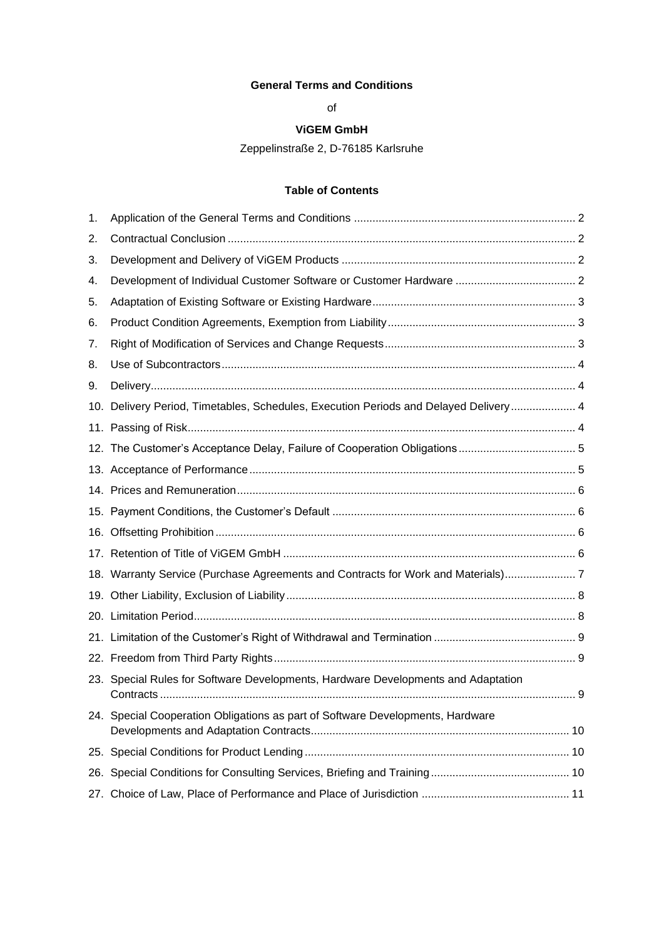#### **General Terms and Conditions**

of

# **ViGEM GmbH**

Zeppelinstraße 2, D-76185 Karlsruhe

# **Table of Contents**

<span id="page-0-0"></span>

| 1. |                                                                                       |  |
|----|---------------------------------------------------------------------------------------|--|
| 2. |                                                                                       |  |
| 3. |                                                                                       |  |
| 4. |                                                                                       |  |
| 5. |                                                                                       |  |
| 6. |                                                                                       |  |
| 7. |                                                                                       |  |
| 8. |                                                                                       |  |
| 9. |                                                                                       |  |
|    | 10. Delivery Period, Timetables, Schedules, Execution Periods and Delayed Delivery  4 |  |
|    |                                                                                       |  |
|    |                                                                                       |  |
|    |                                                                                       |  |
|    |                                                                                       |  |
|    |                                                                                       |  |
|    |                                                                                       |  |
|    |                                                                                       |  |
|    | 18. Warranty Service (Purchase Agreements and Contracts for Work and Materials)7      |  |
|    |                                                                                       |  |
|    |                                                                                       |  |
|    |                                                                                       |  |
|    |                                                                                       |  |
|    | 23. Special Rules for Software Developments, Hardware Developments and Adaptation     |  |
|    | 24. Special Cooperation Obligations as part of Software Developments, Hardware        |  |
|    |                                                                                       |  |
|    |                                                                                       |  |
|    |                                                                                       |  |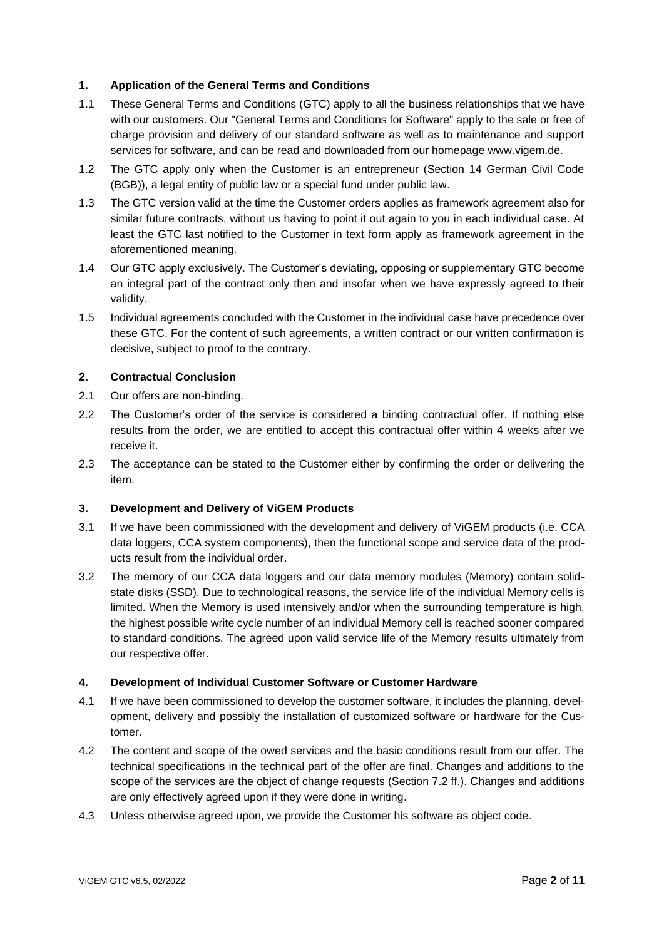## **1. Application of the General Terms and Conditions**

- 1.1 These General Terms and Conditions (GTC) apply to all the business relationships that we have with our customers. Our "General Terms and Conditions for Software" apply to the sale or free of charge provision and delivery of our standard software as well as to maintenance and support services for software, and can be read and downloaded from our homepage www.vigem.de.
- 1.2 The GTC apply only when the Customer is an entrepreneur (Section 14 German Civil Code (BGB)), a legal entity of public law or a special fund under public law.
- 1.3 The GTC version valid at the time the Customer orders applies as framework agreement also for similar future contracts, without us having to point it out again to you in each individual case. At least the GTC last notified to the Customer in text form apply as framework agreement in the aforementioned meaning.
- 1.4 Our GTC apply exclusively. The Customer's deviating, opposing or supplementary GTC become an integral part of the contract only then and insofar when we have expressly agreed to their validity.
- 1.5 Individual agreements concluded with the Customer in the individual case have precedence over these GTC. For the content of such agreements, a written contract or our written confirmation is decisive, subject to proof to the contrary.

#### <span id="page-1-0"></span>**2. Contractual Conclusion**

- 2.1 Our offers are non-binding.
- 2.2 The Customer's order of the service is considered a binding contractual offer. If nothing else results from the order, we are entitled to accept this contractual offer within 4 weeks after we receive it.
- 2.3 The acceptance can be stated to the Customer either by confirming the order or delivering the item.

#### <span id="page-1-1"></span>**3. Development and Delivery of ViGEM Products**

- 3.1 If we have been commissioned with the development and delivery of ViGEM products (i.e. CCA data loggers, CCA system components), then the functional scope and service data of the products result from the individual order.
- 3.2 The memory of our CCA data loggers and our data memory modules (Memory) contain solidstate disks (SSD). Due to technological reasons, the service life of the individual Memory cells is limited. When the Memory is used intensively and/or when the surrounding temperature is high, the highest possible write cycle number of an individual Memory cell is reached sooner compared to standard conditions. The agreed upon valid service life of the Memory results ultimately from our respective offer.

#### <span id="page-1-2"></span>**4. Development of Individual Customer Software or Customer Hardware**

- 4.1 If we have been commissioned to develop the customer software, it includes the planning, development, delivery and possibly the installation of customized software or hardware for the Customer.
- 4.2 The content and scope of the owed services and the basic conditions result from our offer. The technical specifications in the technical part of the offer are final. Changes and additions to the scope of the services are the object of change requests (Section 7.2 ff.). Changes and additions are only effectively agreed upon if they were done in writing.
- 4.3 Unless otherwise agreed upon, we provide the Customer his software as object code.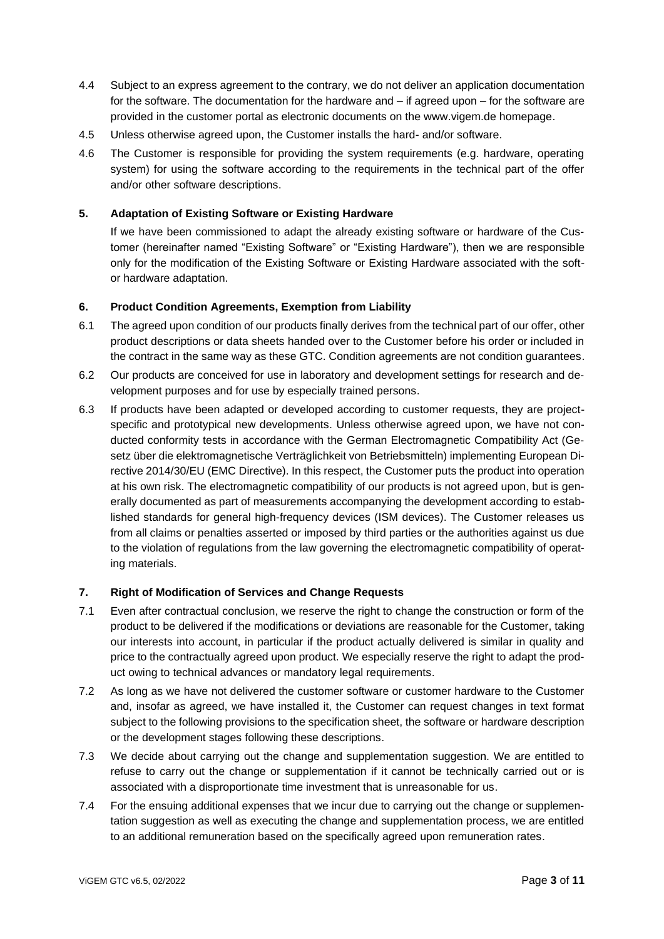- 4.4 Subject to an express agreement to the contrary, we do not deliver an application documentation for the software. The documentation for the hardware and – if agreed upon – for the software are provided in the customer portal as electronic documents on the www.vigem.de homepage.
- 4.5 Unless otherwise agreed upon, the Customer installs the hard- and/or software.
- 4.6 The Customer is responsible for providing the system requirements (e.g. hardware, operating system) for using the software according to the requirements in the technical part of the offer and/or other software descriptions.

### <span id="page-2-0"></span>**5. Adaptation of Existing Software or Existing Hardware**

If we have been commissioned to adapt the already existing software or hardware of the Customer (hereinafter named "Existing Software" or "Existing Hardware"), then we are responsible only for the modification of the Existing Software or Existing Hardware associated with the softor hardware adaptation.

## <span id="page-2-1"></span>**6. Product Condition Agreements, Exemption from Liability**

- 6.1 The agreed upon condition of our products finally derives from the technical part of our offer, other product descriptions or data sheets handed over to the Customer before his order or included in the contract in the same way as these GTC. Condition agreements are not condition guarantees.
- 6.2 Our products are conceived for use in laboratory and development settings for research and development purposes and for use by especially trained persons.
- 6.3 If products have been adapted or developed according to customer requests, they are projectspecific and prototypical new developments. Unless otherwise agreed upon, we have not conducted conformity tests in accordance with the German Electromagnetic Compatibility Act (Gesetz über die elektromagnetische Verträglichkeit von Betriebsmitteln) implementing European Directive 2014/30/EU (EMC Directive). In this respect, the Customer puts the product into operation at his own risk. The electromagnetic compatibility of our products is not agreed upon, but is generally documented as part of measurements accompanying the development according to established standards for general high-frequency devices (ISM devices). The Customer releases us from all claims or penalties asserted or imposed by third parties or the authorities against us due to the violation of regulations from the law governing the electromagnetic compatibility of operating materials.

#### <span id="page-2-2"></span>**7. Right of Modification of Services and Change Requests**

- 7.1 Even after contractual conclusion, we reserve the right to change the construction or form of the product to be delivered if the modifications or deviations are reasonable for the Customer, taking our interests into account, in particular if the product actually delivered is similar in quality and price to the contractually agreed upon product. We especially reserve the right to adapt the product owing to technical advances or mandatory legal requirements.
- 7.2 As long as we have not delivered the customer software or customer hardware to the Customer and, insofar as agreed, we have installed it, the Customer can request changes in text format subject to the following provisions to the specification sheet, the software or hardware description or the development stages following these descriptions.
- 7.3 We decide about carrying out the change and supplementation suggestion. We are entitled to refuse to carry out the change or supplementation if it cannot be technically carried out or is associated with a disproportionate time investment that is unreasonable for us.
- 7.4 For the ensuing additional expenses that we incur due to carrying out the change or supplementation suggestion as well as executing the change and supplementation process, we are entitled to an additional remuneration based on the specifically agreed upon remuneration rates.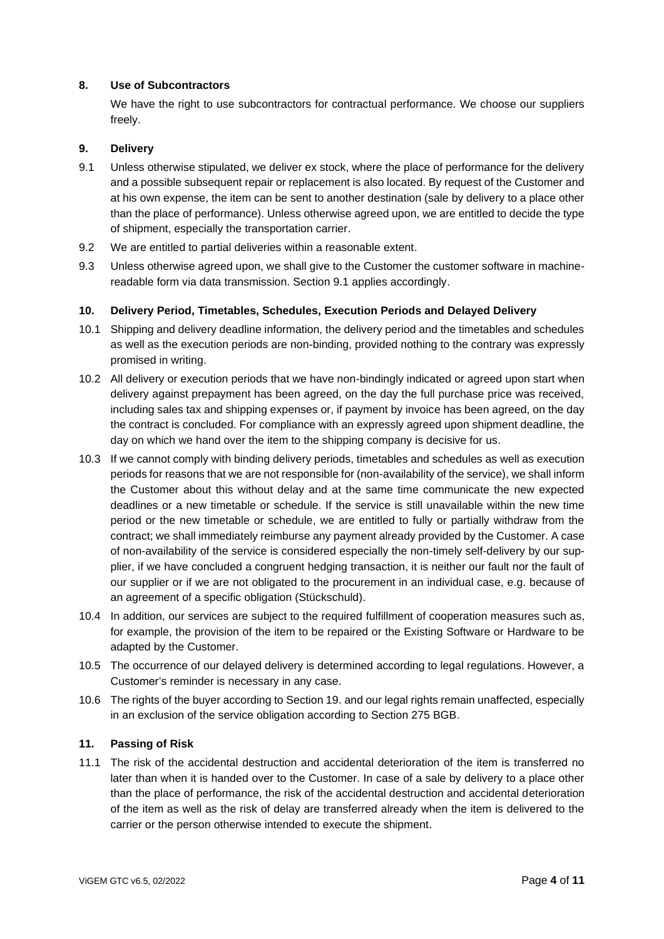#### <span id="page-3-0"></span>**8. Use of Subcontractors**

We have the right to use subcontractors for contractual performance. We choose our suppliers freely.

#### <span id="page-3-1"></span>**9. Delivery**

- 9.1 Unless otherwise stipulated, we deliver ex stock, where the place of performance for the delivery and a possible subsequent repair or replacement is also located. By request of the Customer and at his own expense, the item can be sent to another destination (sale by delivery to a place other than the place of performance). Unless otherwise agreed upon, we are entitled to decide the type of shipment, especially the transportation carrier.
- 9.2 We are entitled to partial deliveries within a reasonable extent.
- 9.3 Unless otherwise agreed upon, we shall give to the Customer the customer software in machinereadable form via data transmission. Section 9.1 applies accordingly.

#### <span id="page-3-2"></span>**10. Delivery Period, Timetables, Schedules, Execution Periods and Delayed Delivery**

- 10.1 Shipping and delivery deadline information, the delivery period and the timetables and schedules as well as the execution periods are non-binding, provided nothing to the contrary was expressly promised in writing.
- 10.2 All delivery or execution periods that we have non-bindingly indicated or agreed upon start when delivery against prepayment has been agreed, on the day the full purchase price was received, including sales tax and shipping expenses or, if payment by invoice has been agreed, on the day the contract is concluded. For compliance with an expressly agreed upon shipment deadline, the day on which we hand over the item to the shipping company is decisive for us.
- 10.3 If we cannot comply with binding delivery periods, timetables and schedules as well as execution periods for reasons that we are not responsible for (non-availability of the service), we shall inform the Customer about this without delay and at the same time communicate the new expected deadlines or a new timetable or schedule. If the service is still unavailable within the new time period or the new timetable or schedule, we are entitled to fully or partially withdraw from the contract; we shall immediately reimburse any payment already provided by the Customer. A case of non-availability of the service is considered especially the non-timely self-delivery by our supplier, if we have concluded a congruent hedging transaction, it is neither our fault nor the fault of our supplier or if we are not obligated to the procurement in an individual case, e.g. because of an agreement of a specific obligation (Stückschuld).
- 10.4 In addition, our services are subject to the required fulfillment of cooperation measures such as, for example, the provision of the item to be repaired or the Existing Software or Hardware to be adapted by the Customer.
- 10.5 The occurrence of our delayed delivery is determined according to legal regulations. However, a Customer's reminder is necessary in any case.
- 10.6 The rights of the buyer according to Section 19. and our legal rights remain unaffected, especially in an exclusion of the service obligation according to Section 275 BGB.

#### <span id="page-3-3"></span>**11. Passing of Risk**

11.1 The risk of the accidental destruction and accidental deterioration of the item is transferred no later than when it is handed over to the Customer. In case of a sale by delivery to a place other than the place of performance, the risk of the accidental destruction and accidental deterioration of the item as well as the risk of delay are transferred already when the item is delivered to the carrier or the person otherwise intended to execute the shipment.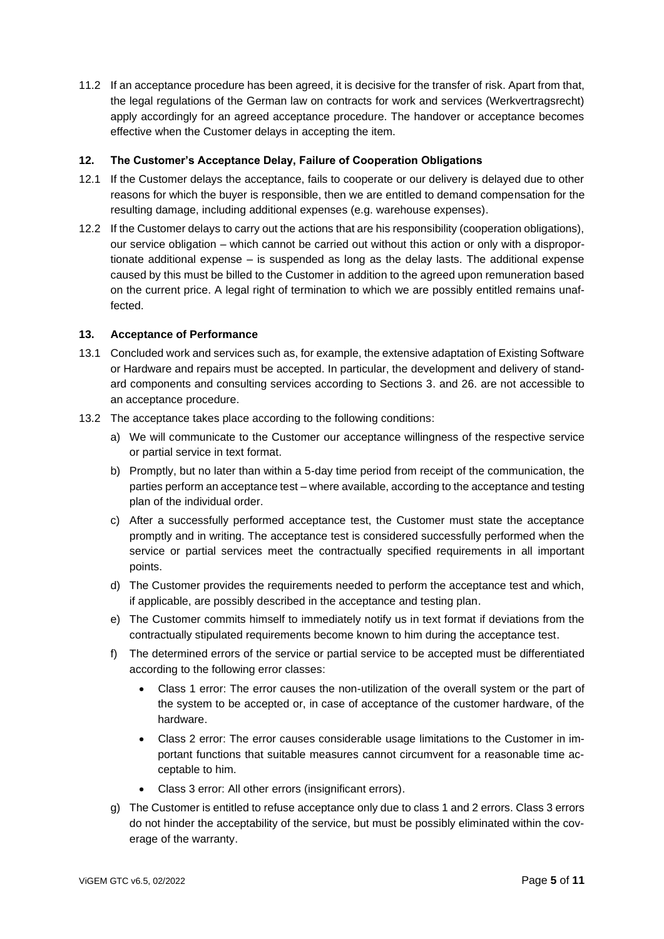11.2 If an acceptance procedure has been agreed, it is decisive for the transfer of risk. Apart from that, the legal regulations of the German law on contracts for work and services (Werkvertragsrecht) apply accordingly for an agreed acceptance procedure. The handover or acceptance becomes effective when the Customer delays in accepting the item.

### <span id="page-4-0"></span>**12. The Customer's Acceptance Delay, Failure of Cooperation Obligations**

- 12.1 If the Customer delays the acceptance, fails to cooperate or our delivery is delayed due to other reasons for which the buyer is responsible, then we are entitled to demand compensation for the resulting damage, including additional expenses (e.g. warehouse expenses).
- 12.2 If the Customer delays to carry out the actions that are his responsibility (cooperation obligations), our service obligation – which cannot be carried out without this action or only with a disproportionate additional expense – is suspended as long as the delay lasts. The additional expense caused by this must be billed to the Customer in addition to the agreed upon remuneration based on the current price. A legal right of termination to which we are possibly entitled remains unaffected.

#### <span id="page-4-1"></span>**13. Acceptance of Performance**

- 13.1 Concluded work and services such as, for example, the extensive adaptation of Existing Software or Hardware and repairs must be accepted. In particular, the development and delivery of standard components and consulting services according to Sections 3. and 26. are not accessible to an acceptance procedure.
- 13.2 The acceptance takes place according to the following conditions:
	- a) We will communicate to the Customer our acceptance willingness of the respective service or partial service in text format.
	- b) Promptly, but no later than within a 5-day time period from receipt of the communication, the parties perform an acceptance test – where available, according to the acceptance and testing plan of the individual order.
	- c) After a successfully performed acceptance test, the Customer must state the acceptance promptly and in writing. The acceptance test is considered successfully performed when the service or partial services meet the contractually specified requirements in all important points.
	- d) The Customer provides the requirements needed to perform the acceptance test and which, if applicable, are possibly described in the acceptance and testing plan.
	- e) The Customer commits himself to immediately notify us in text format if deviations from the contractually stipulated requirements become known to him during the acceptance test.
	- f) The determined errors of the service or partial service to be accepted must be differentiated according to the following error classes:
		- Class 1 error: The error causes the non-utilization of the overall system or the part of the system to be accepted or, in case of acceptance of the customer hardware, of the hardware.
		- Class 2 error: The error causes considerable usage limitations to the Customer in important functions that suitable measures cannot circumvent for a reasonable time acceptable to him.
		- Class 3 error: All other errors (insignificant errors).
	- g) The Customer is entitled to refuse acceptance only due to class 1 and 2 errors. Class 3 errors do not hinder the acceptability of the service, but must be possibly eliminated within the coverage of the warranty.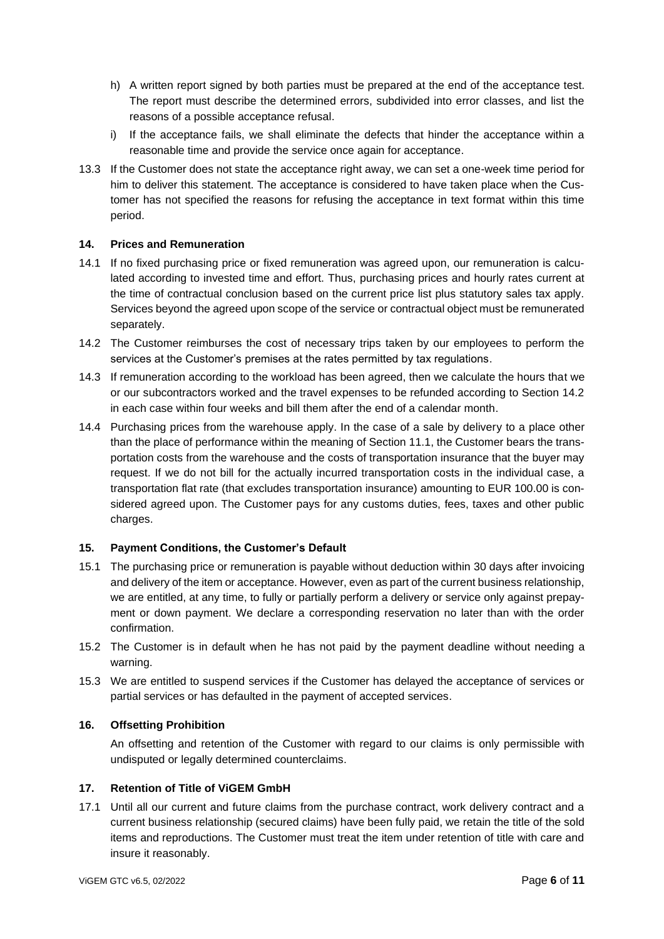- h) A written report signed by both parties must be prepared at the end of the acceptance test. The report must describe the determined errors, subdivided into error classes, and list the reasons of a possible acceptance refusal.
- i) If the acceptance fails, we shall eliminate the defects that hinder the acceptance within a reasonable time and provide the service once again for acceptance.
- 13.3 If the Customer does not state the acceptance right away, we can set a one-week time period for him to deliver this statement. The acceptance is considered to have taken place when the Customer has not specified the reasons for refusing the acceptance in text format within this time period.

#### <span id="page-5-0"></span>**14. Prices and Remuneration**

- 14.1 If no fixed purchasing price or fixed remuneration was agreed upon, our remuneration is calculated according to invested time and effort. Thus, purchasing prices and hourly rates current at the time of contractual conclusion based on the current price list plus statutory sales tax apply. Services beyond the agreed upon scope of the service or contractual object must be remunerated separately.
- 14.2 The Customer reimburses the cost of necessary trips taken by our employees to perform the services at the Customer's premises at the rates permitted by tax regulations.
- 14.3 If remuneration according to the workload has been agreed, then we calculate the hours that we or our subcontractors worked and the travel expenses to be refunded according to Section 14.2 in each case within four weeks and bill them after the end of a calendar month.
- 14.4 Purchasing prices from the warehouse apply. In the case of a sale by delivery to a place other than the place of performance within the meaning of Section 11.1, the Customer bears the transportation costs from the warehouse and the costs of transportation insurance that the buyer may request. If we do not bill for the actually incurred transportation costs in the individual case, a transportation flat rate (that excludes transportation insurance) amounting to EUR 100.00 is considered agreed upon. The Customer pays for any customs duties, fees, taxes and other public charges.

# <span id="page-5-1"></span>**15. Payment Conditions, the Customer's Default**

- 15.1 The purchasing price or remuneration is payable without deduction within 30 days after invoicing and delivery of the item or acceptance. However, even as part of the current business relationship, we are entitled, at any time, to fully or partially perform a delivery or service only against prepayment or down payment. We declare a corresponding reservation no later than with the order confirmation.
- 15.2 The Customer is in default when he has not paid by the payment deadline without needing a warning.
- 15.3 We are entitled to suspend services if the Customer has delayed the acceptance of services or partial services or has defaulted in the payment of accepted services.

#### <span id="page-5-2"></span>**16. Offsetting Prohibition**

An offsetting and retention of the Customer with regard to our claims is only permissible with undisputed or legally determined counterclaims.

#### <span id="page-5-3"></span>**17. Retention of Title of ViGEM GmbH**

17.1 Until all our current and future claims from the purchase contract, work delivery contract and a current business relationship (secured claims) have been fully paid, we retain the title of the sold items and reproductions. The Customer must treat the item under retention of title with care and insure it reasonably.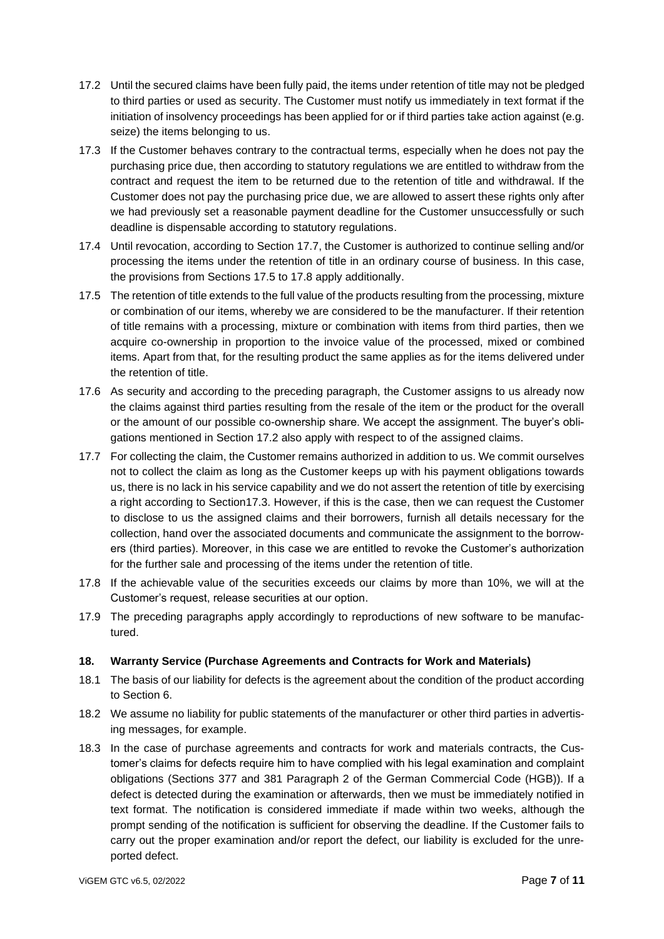- 17.2 Until the secured claims have been fully paid, the items under retention of title may not be pledged to third parties or used as security. The Customer must notify us immediately in text format if the initiation of insolvency proceedings has been applied for or if third parties take action against (e.g. seize) the items belonging to us.
- 17.3 If the Customer behaves contrary to the contractual terms, especially when he does not pay the purchasing price due, then according to statutory regulations we are entitled to withdraw from the contract and request the item to be returned due to the retention of title and withdrawal. If the Customer does not pay the purchasing price due, we are allowed to assert these rights only after we had previously set a reasonable payment deadline for the Customer unsuccessfully or such deadline is dispensable according to statutory regulations.
- 17.4 Until revocation, according to Section 17.7, the Customer is authorized to continue selling and/or processing the items under the retention of title in an ordinary course of business. In this case, the provisions from Sections 17.5 to 17.8 apply additionally.
- 17.5 The retention of title extends to the full value of the products resulting from the processing, mixture or combination of our items, whereby we are considered to be the manufacturer. If their retention of title remains with a processing, mixture or combination with items from third parties, then we acquire co-ownership in proportion to the invoice value of the processed, mixed or combined items. Apart from that, for the resulting product the same applies as for the items delivered under the retention of title.
- 17.6 As security and according to the preceding paragraph, the Customer assigns to us already now the claims against third parties resulting from the resale of the item or the product for the overall or the amount of our possible co-ownership share. We accept the assignment. The buyer's obligations mentioned in Section 17.2 also apply with respect to of the assigned claims.
- 17.7 For collecting the claim, the Customer remains authorized in addition to us. We commit ourselves not to collect the claim as long as the Customer keeps up with his payment obligations towards us, there is no lack in his service capability and we do not assert the retention of title by exercising a right according to Section17.3. However, if this is the case, then we can request the Customer to disclose to us the assigned claims and their borrowers, furnish all details necessary for the collection, hand over the associated documents and communicate the assignment to the borrowers (third parties). Moreover, in this case we are entitled to revoke the Customer's authorization for the further sale and processing of the items under the retention of title.
- 17.8 If the achievable value of the securities exceeds our claims by more than 10%, we will at the Customer's request, release securities at our option.
- 17.9 The preceding paragraphs apply accordingly to reproductions of new software to be manufactured.

#### <span id="page-6-0"></span>**18. Warranty Service (Purchase Agreements and Contracts for Work and Materials)**

- 18.1 The basis of our liability for defects is the agreement about the condition of the product according to Section 6.
- 18.2 We assume no liability for public statements of the manufacturer or other third parties in advertising messages, for example.
- 18.3 In the case of purchase agreements and contracts for work and materials contracts, the Customer's claims for defects require him to have complied with his legal examination and complaint obligations (Sections 377 and 381 Paragraph 2 of the German Commercial Code (HGB)). If a defect is detected during the examination or afterwards, then we must be immediately notified in text format. The notification is considered immediate if made within two weeks, although the prompt sending of the notification is sufficient for observing the deadline. If the Customer fails to carry out the proper examination and/or report the defect, our liability is excluded for the unreported defect.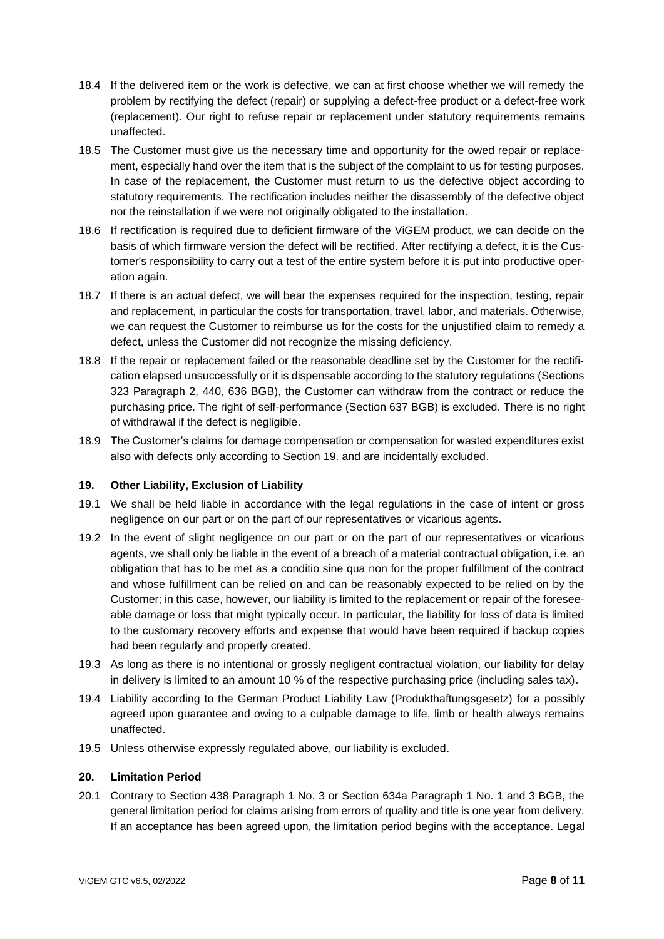- 18.4 If the delivered item or the work is defective, we can at first choose whether we will remedy the problem by rectifying the defect (repair) or supplying a defect-free product or a defect-free work (replacement). Our right to refuse repair or replacement under statutory requirements remains unaffected.
- 18.5 The Customer must give us the necessary time and opportunity for the owed repair or replacement, especially hand over the item that is the subject of the complaint to us for testing purposes. In case of the replacement, the Customer must return to us the defective object according to statutory requirements. The rectification includes neither the disassembly of the defective object nor the reinstallation if we were not originally obligated to the installation.
- 18.6 If rectification is required due to deficient firmware of the ViGEM product, we can decide on the basis of which firmware version the defect will be rectified. After rectifying a defect, it is the Customer's responsibility to carry out a test of the entire system before it is put into productive operation again.
- 18.7 If there is an actual defect, we will bear the expenses required for the inspection, testing, repair and replacement, in particular the costs for transportation, travel, labor, and materials. Otherwise, we can request the Customer to reimburse us for the costs for the unjustified claim to remedy a defect, unless the Customer did not recognize the missing deficiency.
- 18.8 If the repair or replacement failed or the reasonable deadline set by the Customer for the rectification elapsed unsuccessfully or it is dispensable according to the statutory regulations (Sections 323 Paragraph 2, 440, 636 BGB), the Customer can withdraw from the contract or reduce the purchasing price. The right of self-performance (Section 637 BGB) is excluded. There is no right of withdrawal if the defect is negligible.
- 18.9 The Customer's claims for damage compensation or compensation for wasted expenditures exist also with defects only according to Section 19. and are incidentally excluded.

#### <span id="page-7-0"></span>**19. Other Liability, Exclusion of Liability**

- 19.1 We shall be held liable in accordance with the legal regulations in the case of intent or gross negligence on our part or on the part of our representatives or vicarious agents.
- 19.2 In the event of slight negligence on our part or on the part of our representatives or vicarious agents, we shall only be liable in the event of a breach of a material contractual obligation, i.e. an obligation that has to be met as a conditio sine qua non for the proper fulfillment of the contract and whose fulfillment can be relied on and can be reasonably expected to be relied on by the Customer; in this case, however, our liability is limited to the replacement or repair of the foreseeable damage or loss that might typically occur. In particular, the liability for loss of data is limited to the customary recovery efforts and expense that would have been required if backup copies had been regularly and properly created.
- 19.3 As long as there is no intentional or grossly negligent contractual violation, our liability for delay in delivery is limited to an amount 10 % of the respective purchasing price (including sales tax).
- 19.4 Liability according to the German Product Liability Law (Produkthaftungsgesetz) for a possibly agreed upon guarantee and owing to a culpable damage to life, limb or health always remains unaffected.
- 19.5 Unless otherwise expressly regulated above, our liability is excluded.

#### <span id="page-7-1"></span>**20. Limitation Period**

20.1 Contrary to Section 438 Paragraph 1 No. 3 or Section 634a Paragraph 1 No. 1 and 3 BGB, the general limitation period for claims arising from errors of quality and title is one year from delivery. If an acceptance has been agreed upon, the limitation period begins with the acceptance. Legal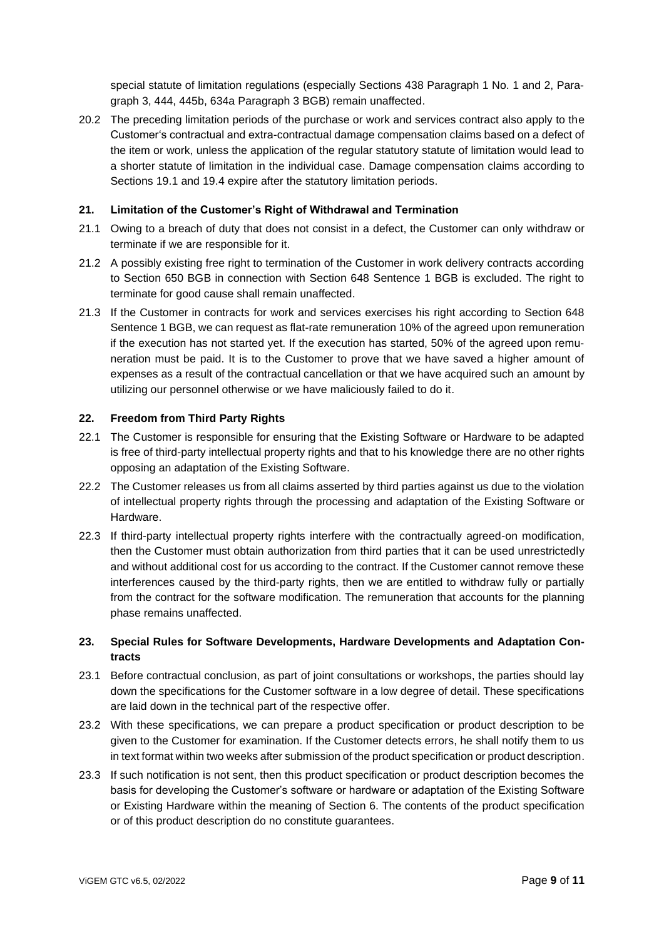special statute of limitation regulations (especially Sections 438 Paragraph 1 No. 1 and 2, Paragraph 3, 444, 445b, 634a Paragraph 3 BGB) remain unaffected.

20.2 The preceding limitation periods of the purchase or work and services contract also apply to the Customer's contractual and extra-contractual damage compensation claims based on a defect of the item or work, unless the application of the regular statutory statute of limitation would lead to a shorter statute of limitation in the individual case. Damage compensation claims according to Sections 19.1 and 19.4 expire after the statutory limitation periods.

#### <span id="page-8-0"></span>**21. Limitation of the Customer's Right of Withdrawal and Termination**

- 21.1 Owing to a breach of duty that does not consist in a defect, the Customer can only withdraw or terminate if we are responsible for it.
- 21.2 A possibly existing free right to termination of the Customer in work delivery contracts according to Section 650 BGB in connection with Section 648 Sentence 1 BGB is excluded. The right to terminate for good cause shall remain unaffected.
- 21.3 If the Customer in contracts for work and services exercises his right according to Section 648 Sentence 1 BGB, we can request as flat-rate remuneration 10% of the agreed upon remuneration if the execution has not started yet. If the execution has started, 50% of the agreed upon remuneration must be paid. It is to the Customer to prove that we have saved a higher amount of expenses as a result of the contractual cancellation or that we have acquired such an amount by utilizing our personnel otherwise or we have maliciously failed to do it.

#### <span id="page-8-1"></span>**22. Freedom from Third Party Rights**

- 22.1 The Customer is responsible for ensuring that the Existing Software or Hardware to be adapted is free of third-party intellectual property rights and that to his knowledge there are no other rights opposing an adaptation of the Existing Software.
- 22.2 The Customer releases us from all claims asserted by third parties against us due to the violation of intellectual property rights through the processing and adaptation of the Existing Software or Hardware.
- 22.3 If third-party intellectual property rights interfere with the contractually agreed-on modification, then the Customer must obtain authorization from third parties that it can be used unrestrictedly and without additional cost for us according to the contract. If the Customer cannot remove these interferences caused by the third-party rights, then we are entitled to withdraw fully or partially from the contract for the software modification. The remuneration that accounts for the planning phase remains unaffected.

#### <span id="page-8-2"></span>**23. Special Rules for Software Developments, Hardware Developments and Adaptation Contracts**

- 23.1 Before contractual conclusion, as part of joint consultations or workshops, the parties should lay down the specifications for the Customer software in a low degree of detail. These specifications are laid down in the technical part of the respective offer.
- 23.2 With these specifications, we can prepare a product specification or product description to be given to the Customer for examination. If the Customer detects errors, he shall notify them to us in text format within two weeks after submission of the product specification or product description.
- 23.3 If such notification is not sent, then this product specification or product description becomes the basis for developing the Customer's software or hardware or adaptation of the Existing Software or Existing Hardware within the meaning of Section 6. The contents of the product specification or of this product description do no constitute guarantees.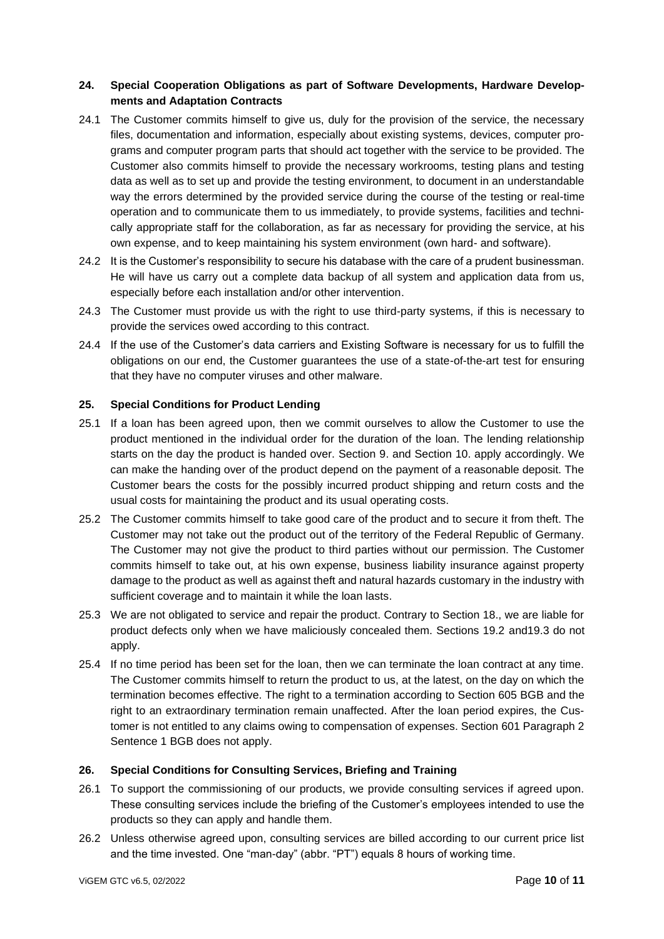## <span id="page-9-0"></span>**24. Special Cooperation Obligations as part of Software Developments, Hardware Developments and Adaptation Contracts**

- 24.1 The Customer commits himself to give us, duly for the provision of the service, the necessary files, documentation and information, especially about existing systems, devices, computer programs and computer program parts that should act together with the service to be provided. The Customer also commits himself to provide the necessary workrooms, testing plans and testing data as well as to set up and provide the testing environment, to document in an understandable way the errors determined by the provided service during the course of the testing or real-time operation and to communicate them to us immediately, to provide systems, facilities and technically appropriate staff for the collaboration, as far as necessary for providing the service, at his own expense, and to keep maintaining his system environment (own hard- and software).
- 24.2 It is the Customer's responsibility to secure his database with the care of a prudent businessman. He will have us carry out a complete data backup of all system and application data from us, especially before each installation and/or other intervention.
- 24.3 The Customer must provide us with the right to use third-party systems, if this is necessary to provide the services owed according to this contract.
- 24.4 If the use of the Customer's data carriers and Existing Software is necessary for us to fulfill the obligations on our end, the Customer guarantees the use of a state-of-the-art test for ensuring that they have no computer viruses and other malware.

#### <span id="page-9-1"></span>**25. Special Conditions for Product Lending**

- 25.1 If a loan has been agreed upon, then we commit ourselves to allow the Customer to use the product mentioned in the individual order for the duration of the loan. The lending relationship starts on the day the product is handed over. Section 9. and Section 10. apply accordingly. We can make the handing over of the product depend on the payment of a reasonable deposit. The Customer bears the costs for the possibly incurred product shipping and return costs and the usual costs for maintaining the product and its usual operating costs.
- 25.2 The Customer commits himself to take good care of the product and to secure it from theft. The Customer may not take out the product out of the territory of the Federal Republic of Germany. The Customer may not give the product to third parties without our permission. The Customer commits himself to take out, at his own expense, business liability insurance against property damage to the product as well as against theft and natural hazards customary in the industry with sufficient coverage and to maintain it while the loan lasts.
- 25.3 We are not obligated to service and repair the product. Contrary to Section 18., we are liable for product defects only when we have maliciously concealed them. Sections 19.2 and19.3 do not apply.
- 25.4 If no time period has been set for the loan, then we can terminate the loan contract at any time. The Customer commits himself to return the product to us, at the latest, on the day on which the termination becomes effective. The right to a termination according to Section 605 BGB and the right to an extraordinary termination remain unaffected. After the loan period expires, the Customer is not entitled to any claims owing to compensation of expenses. Section 601 Paragraph 2 Sentence 1 BGB does not apply.

#### <span id="page-9-2"></span>**26. Special Conditions for Consulting Services, Briefing and Training**

- 26.1 To support the commissioning of our products, we provide consulting services if agreed upon. These consulting services include the briefing of the Customer's employees intended to use the products so they can apply and handle them.
- 26.2 Unless otherwise agreed upon, consulting services are billed according to our current price list and the time invested. One "man-day" (abbr. "PT") equals 8 hours of working time.